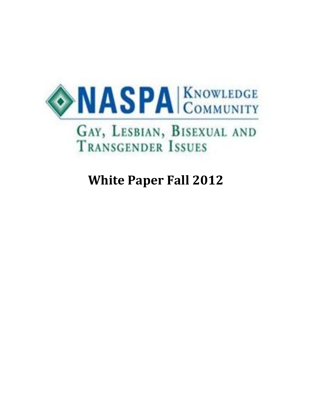

# **White Paper Fall 2012**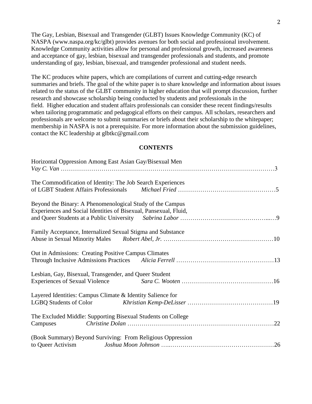The Gay, Lesbian, Bisexual and Transgender (GLBT) Issues Knowledge Community (KC) of NASPA (www.naspa.org/kc/glbt) provides avenues for both social and professional involvement. Knowledge Community activities allow for personal and professional growth, increased awareness and acceptance of gay, lesbian, bisexual and transgender professionals and students, and promote understanding of gay, lesbian, bisexual, and transgender professional and student needs.

The KC produces white papers, which are compilations of current and cutting-edge research summaries and briefs. The goal of the white paper is to share knowledge and information about issues related to the status of the GLBT community in higher education that will prompt discussion, further research and showcase scholarship being conducted by students and professionals in the field. Higher education and student affairs professionals can consider these recent findings/results when tailoring programmatic and pedagogical efforts on their campus. All scholars, researchers and professionals are welcome to submit summaries or briefs about their scholarship to the whitepaper; membership in NASPA is not a prerequisite. For more information about the submission guidelines, contact the KC leadership at glbtkc@gmail.com

#### **CONTENTS**

| Horizontal Oppression Among East Asian Gay/Bisexual Men                                                                       |
|-------------------------------------------------------------------------------------------------------------------------------|
| The Commodification of Identity: The Job Search Experiences                                                                   |
| Beyond the Binary: A Phenomenological Study of the Campus<br>Experiences and Social Identities of Bisexual, Pansexual, Fluid, |
| Family Acceptance, Internalized Sexual Stigma and Substance                                                                   |
| Out in Admissions: Creating Positive Campus Climates                                                                          |
| Lesbian, Gay, Bisexual, Transgender, and Queer Student                                                                        |
| Layered Identities: Campus Climate & Identity Salience for                                                                    |
| The Excluded Middle: Supporting Bisexual Students on College<br>Campuses                                                      |
| (Book Summary) Beyond Surviving: From Religious Oppression<br>to Queer Activism                                               |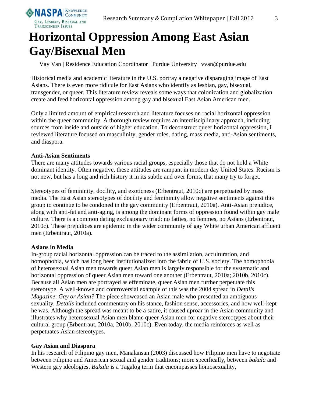

## **Horizontal Oppression Among East Asian Gay/Bisexual Men**

Vay Van | Residence Education Coordinator | Purdue University | vvan@purdue.edu

Historical media and academic literature in the U.S. portray a negative disparaging image of East Asians. There is even more ridicule for East Asians who identify as lesbian, gay, bisexual, transgender, or queer. This literature review reveals some ways that colonization and globalization create and feed horizontal oppression among gay and bisexual East Asian American men.

Only a limited amount of empirical research and literature focuses on racial horizontal oppression within the queer community. A thorough review requires an interdisciplinary approach, including sources from inside and outside of higher education. To deconstruct queer horizontal oppression, I reviewed literature focused on masculinity, gender roles, dating, mass media, anti-Asian sentiments, and diaspora.

#### **Anti-Asian Sentiments**

There are many attitudes towards various racial groups, especially those that do not hold a White dominant identity. Often negative, these attitudes are rampant in modern day United States. Racism is not new, but has a long and rich history it in its subtle and over forms, that many try to forget.

Stereotypes of femininity, docility, and exoticness (Erbentraut, 2010c) are perpetuated by mass media. The East Asian stereotypes of docility and femininity allow negative sentiments against this group to continue to be condoned in the gay community (Erbentraut, 2010a). Anti-Asian prejudice, along with anti-fat and anti-aging, is among the dominant forms of oppression found within gay male culture. There is a common dating exclusionary triad: no fatties, no femmes, no Asians (Erbentraut, 2010c). These prejudices are epidemic in the wider community of gay White urban American affluent men (Erbentraut, 2010a).

#### **Asians in Media**

In-group racial horizontal oppression can be traced to the assimilation, acculturation, and homophobia, which has long been institutionalized into the fabric of U.S. society. The homophobia of heterosexual Asian men towards queer Asian men is largely responsible for the systematic and horizontal oppression of queer Asian men toward one another (Erbentraut, 2010a; 2010b, 2010c). Because all Asian men are portrayed as effeminate, queer Asian men further perpetuate this stereotype. A well-known and controversial example of this was the 2004 spread in *Details Magazine*: *Gay or Asian?* The piece showcased an Asian male who presented an ambiguous sexuality. *Details* included commentary on his stance, fashion sense, accessories, and how well-kept he was. Although the spread was meant to be a satire, it caused uproar in the Asian community and illustrates why heterosexual Asian men blame queer Asian men for negative stereotypes about their cultural group (Erbentraut, 2010a, 2010b, 2010c). Even today, the media reinforces as well as perpetuates Asian stereotypes.

#### **Gay Asian and Diaspora**

In his research of Filipino gay men, Manalansan (2003) discussed how Filipino men have to negotiate between Filipino and American sexual and gender traditions; more specifically, between *bakala* and Western gay ideologies. *Bakala* is a Tagalog term that encompasses homosexuality,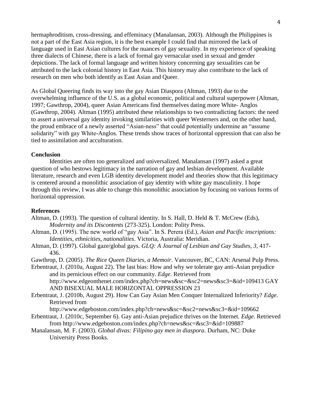hermaphroditism, cross-dressing, and effeminacy (Manalansan, 2003). Although the Philippines is not a part of the East Asia region, it is the best example I could find that mirrored the lack of language used in East Asian cultures for the nuances of gay sexuality. In my experience of speaking three dialects of Chinese, there is a lack of formal gay vernacular used in sexual and gender depictions. The lack of formal language and written history concerning gay sexualities can be attributed to the lack colonial history in East Asia. This history may also contribute to the lack of research on men who both identify as East Asian and Queer.

As Global Queering finds its way into the gay Asian Diaspora (Altman, 1993) due to the overwhelming influence of the U.S. as a global economic, political and cultural superpower (Altman, 1997; Gawthrop, 2004), queer Asian Americans find themselves dating more White- Anglos (Gawthrop, 2004). Altman (1995) attributed these relationships to two contradicting factors: the need to assert a universal gay identity invoking similarities with queer Westerners and, on the other hand, the proud embrace of a newly asserted "Asian-ness" that could potentially undermine an "assume solidarity" with gay White-Anglos. These trends show traces of horizontal oppression that can also be tied to assimilation and acculturation.

#### **Conclusion**

Identities are often too generalized and universalized. Manalansan (1997) asked a great question of who bestows legitimacy in the narration of gay and lesbian development. Available literature, research and even LGB identity development model and theories show that this legitimacy is centered around a monolithic association of gay identity with white gay masculinity. I hope through this review, I was able to change this monolithic association by focusing on various forms of horizontal oppression.

#### **References**

- Altman, D. (1993). The question of cultural identity. In S. Hall, D. Held & T. McCrew (Eds), *Modernity and its Discontents* (273-325). London: Polity Press.
- Altman, D. (1995). The new world of "gay Asia". In S. Perera (Ed.), *Asian and Pacific inscriptions: Identities, ethnicities, nationalities*. Victoria, Australia: Meridian.
- Altman, D. (1997). Global gaze/global gays. *GLQ: A Journal of Lesbian and Gay Studies, 3*, 417- 436.
- Gawthrop, D. (2005). *The Rice Queen Diaries, a Memoir*. Vancouver, BC, CAN: Arsenal Pulp Press.
- Erbentraut, J. (2010a, August 22). The last bias: How and why we tolerate gay anti-Asian prejudice and its pernicious effect on our community*. Edge*. Retrieved from http://www.edgeonthenet.com/index.php?ch=news&sc=&sc2=news&sc3=&id=109413 GAY AND BISEXUAL MALE HORIZONTAL OPPRESSION 23
- Erbentraut, J. (2010b, August 29). How Can Gay Asian Men Conquer Internalized Inferiority? *Edge*. Retrieved from

http://www.edgeboston.com/index.php?ch=news&sc=&sc2=news&sc3=&id=109662

- Erbentraut, J. (2010c, September 6). Gay anti-Asian prejudice thrives on the Internet*. Edge*. Retrieved from http://www.edgeboston.com/index.php?ch=news&sc=&sc3=&id=109887
- Manalansan, M. F. (2003). *Global divas: Filipino gay men in diaspora*. Durham, NC: Duke University Press Books.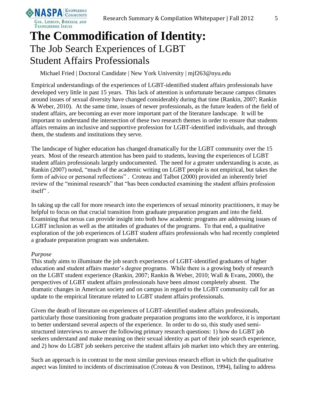

### **The Commodification of Identity:** The Job Search Experiences of LGBT Student Affairs Professionals

Michael Fried | Doctoral Candidate | New York University | mjf263@nyu.edu

Empirical understandings of the experiences of LGBT-identified student affairs professionals have developed very little in past 15 years. This lack of attention is unfortunate because campus climates around issues of sexual diversity have changed considerably during that time [\(Rankin, 2007;](#page-7-0) [Rankin](#page-7-1)  [& Weber, 2010\)](#page-7-1). At the same time, issues of newer professionals, as the future leaders of the field of student affairs, are becoming an ever more important part of the literature landscape. It will be important to understand the intersection of these two research themes in order to ensure that students affairs remains an inclusive and supportive profession for LGBT-identified individuals, and through them, the students and institutions they serve.

The landscape of higher education has changed dramatically for the LGBT community over the 15 years. Most of the research attention has been paid to students, leaving the experiences of LGBT student affairs professionals largely undocumented. The need for a greater understanding is acute, as Rankin [\(2007\)](#page-7-0) noted, "much of the academic writing on LGBT people is not empirical, but takes the form of advice or personal reflections" . Croteau and Talbot [\(2000\)](#page-7-2) provided an inherently brief review of the "minimal research" that "has been conducted examining the student affairs profession itself" .

In taking up the call for more research into the experiences of sexual minority practitioners, it may be helpful to focus on that crucial transition from graduate preparation program and into the field. Examining that nexus can provide insight into both how academic programs are addressing issues of LGBT inclusion as well as the attitudes of graduates of the programs. To that end, a qualitative exploration of the job experiences of LGBT student affairs professionals who had recently completed a graduate preparation program was undertaken.

#### *Purpose*

This study aims to illuminate the job search experiences of LGBT-identified graduates of higher education and student affairs master's degree programs. While there is a growing body of research on the LGBT student experience [\(Rankin, 2007;](#page-7-0) [Rankin & Weber, 2010;](#page-7-1) [Wall & Evans, 2000\)](#page-7-3), the perspectives of LGBT student affairs professionals have been almost completely absent. The dramatic changes in American society and on campus in regard to the LGBT community call for an update to the empirical literature related to LGBT student affairs professionals.

Given the death of literature on experiences of LGBT-identified student affairs professionals, particularly those transitioning from graduate preparation programs into the workforce, it is important to better understand several aspects of the experience. In order to do so, this study used semistructured interviews to answer the following primary research questions: 1) how do LGBT job seekers understand and make meaning on their sexual identity as part of their job search experience, and 2) how do LGBT job seekers perceive the student affairs job market into which they are entering.

Such an approach is in contrast to the most similar previous research effort in which the qualitative aspect was limited to incidents of discrimination [\(Croteau & von Destinon, 1994\)](#page-7-4), failing to address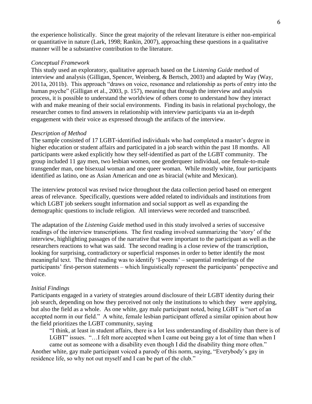the experience holistically. Since the great majority of the relevant literature is either non-empirical or quantitative in nature [\(Lark, 1998;](#page-7-5) [Rankin, 2007\)](#page-7-0), approaching these questions in a qualitative manner will be a substantive contribution to the literature.

#### *Conceptual Framework*

This study used an exploratory, qualitative approach based on the L*istening Guide* method of interview and analysis [\(Gilligan, Spencer, Weinberg, & Bertsch, 2003\)](#page-7-6) and adapted by Way [\(Way,](#page-7-7)  [2011a,](#page-7-7) [2011b\)](#page-7-8). This approach "draws on voice, resonance and relationship as ports of entry into the human psyche" [\(Gilligan et al., 2003, p. 157\)](#page-7-6), meaning that through the interview and analysis process, it is possible to understand the worldview of others come to understand how they interact with and make meaning of their social environments. Finding its basis in relational psychology, the researcher comes to find answers in relationship with interview participants via an in-depth engagement with their voice as expressed through the artifacts of the interview.

#### *Description of Method*

The sample consisted of 17 LGBT-identified individuals who had completed a master's degree in higher education or student affairs and participated in a job search within the past 18 months. All participants were asked explicitly how they self-identified as part of the LGBT community. The group included 11 gay men, two lesbian women, one genderqueer individual, one female-to-male transgender man, one bisexual woman and one queer woman. While mostly white, four participants identified as latino, one as Asian American and one as biracial (white and Mexican).

The interview protocol was revised twice throughout the data collection period based on emergent areas of relevance. Specifically, questions were added related to individuals and institutions from which LGBT job seekers sought information and social support as well as expanding the demographic questions to include religion. All interviews were recorded and transcribed.

The adaptation of the *Listening Guide* method used in this study involved a series of successive readings of the interview transcriptions. The first reading involved summarizing the 'story' of the interview, highlighting passages of the narrative that were important to the participant as well as the researchers reactions to what was said. The second reading is a close review of the transcription, looking for surprising, contradictory or superficial responses in order to better identify the most meaningful text. The third reading was to identify 'I-poems' – sequential renderings of the participants' first-person statements – which linguistically represent the participants' perspective and voice.

#### *Initial Findings*

Participants engaged in a variety of strategies around disclosure of their LGBT identity during their job search, depending on how they perceived not only the institutions to which they were applying, but also the field as a whole. As one white, gay male participant noted, being LGBT is "sort of an accepted norm in our field." A white, female lesbian participant offered a similar opinion about how the field prioritizes the LGBT community, saying

"I think, at least in student affairs, there is a lot less understanding of disability than there is of LGBT" issues. "... I felt more accepted when I came out being gay a lot of time than when I

came out as someone with a disability even though I did the disability thing more often." Another white, gay male participant voiced a parody of this norm, saying, "Everybody's gay in residence life, so why not out myself and I can be part of the club."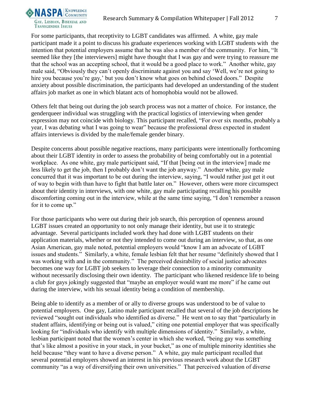

For some participants, that receptivity to LGBT candidates was affirmed. A white, gay male participant made it a point to discuss his graduate experiences working with LGBT students with the intention that potential employers assume that he was also a member of the community. For him, "It seemed like they [the interviewers] might have thought that I was gay and were trying to reassure me that the school was an accepting school, that it would be a good place to work." Another white, gay male said, "Obviously they can't openly discriminate against you and say 'Well, we're not going to hire you because you're gay,' but you don't know what goes on behind closed doors." Despite anxiety about possible discrimination, the participants had developed an understanding of the student affairs job market as one in which blatant acts of homophobia would not be allowed.

Others felt that being out during the job search process was not a matter of choice. For instance, the genderqueer individual was struggling with the practical logistics of interviewing when gender expression may not coincide with biology. This participant recalled, "For over six months, probably a year, I was debating what I was going to wear" because the professional dress expected in student affairs interviews is divided by the male/female gender binary.

Despite concerns about possible negative reactions, many participants were intentionally forthcoming about their LGBT identity in order to assess the probability of being comfortably out in a potential workplace. As one white, gay male participant said, "If that [being out in the interview] made me less likely to get the job, then I probably don't want the job anyway." Another white, gay male concurred that it was important to be out during the interview, saying, "I would rather just get it out of way to begin with than have to fight that battle later on." However, others were more circumspect about their identity in interviews, with one white, gay male participating recalling his possible discomforting coming out in the interview, while at the same time saying, "I don't remember a reason for it to come up."

For those participants who were out during their job search, this perception of openness around LGBT issues created an opportunity to not only manage their identity, but use it to strategic advantage. Several participants included work they had done with LGBT students on their application materials, whether or not they intended to come out during an interview, so that, as one Asian American, gay male noted, potential employers would "know I am an advocate of LGBT issues and students." Similarly, a white, female lesbian felt that her resume "definitely showed that I was working with and in the community." The perceived desirability of social justice advocates becomes one way for LGBT job seekers to leverage their connection to a minority community without necessarily disclosing their own identity. The participant who likened residence life to being a club for gays jokingly suggested that "maybe an employer would want me more" if he came out during the interview, with his sexual identity being a condition of membership.

Being able to identify as a member of or ally to diverse groups was understood to be of value to potential employers. One gay, Latino male participant recalled that several of the job descriptions he reviewed "sought out individuals who identified as diverse." He went on to say that "particularly in student affairs, identifying or being out is valued," citing one potential employer that was specifically looking for "individuals who identify with multiple dimensions of identity." Similarly, a white, lesbian participant noted that the women's center in which she worked, "being gay was something that's like almost a positive in your stack, in your bucket," as one of multiple minority identities she held because "they want to have a diverse person." A white, gay male participant recalled that several potential employers showed an interest in his previous research work about the LGBT community "as a way of diversifying their own universities." That perceived valuation of diverse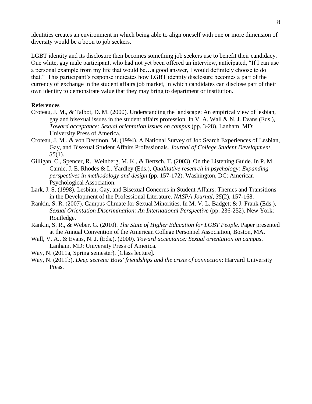identities creates an environment in which being able to align oneself with one or more dimension of diversity would be a boon to job seekers.

LGBT identity and its disclosure then becomes something job seekers use to benefit their candidacy. One white, gay male participant, who had not yet been offered an interview, anticipated, "If I can use a personal example from my life that would be…a good answer, I would definitely choose to do that." This participant's response indicates how LGBT identity disclosure becomes a part of the currency of exchange in the student affairs job market, in which candidates can disclose part of their own identity to demonstrate value that they may bring to department or institution.

#### **References**

- <span id="page-7-2"></span>Croteau, J. M., & Talbot, D. M. (2000). Understanding the landscape: An empirical view of lesbian, gay and bisexual issues in the student affairs profession. In V. A. Wall & N. J. Evans (Eds.), *Toward acceptance: Sexual orientation issues on campus* (pp. 3-28). Lanham, MD: University Press of America.
- <span id="page-7-4"></span>Croteau, J. M., & von Destinon, M. (1994). A National Survey of Job Search Experiences of Lesbian, Gay, and Bisexual Student Affairs Professionals. *Journal of College Student Development, 35*(1).
- <span id="page-7-6"></span>Gilligan, C., Spencer, R., Weinberg, M. K., & Bertsch, T. (2003). On the Listening Guide. In P. M. Camic, J. E. Rhodes & L. Yardley (Eds.), *Qualitative research in psychology: Expanding perspectives in methodology and design* (pp. 157-172). Washington, DC: American Psychological Association.
- <span id="page-7-5"></span>Lark, J. S. (1998). Lesbian, Gay, and Bisexual Concerns in Student Affairs: Themes and Transitions in the Development of the Professional Literature. *NASPA Journal, 35*(2), 157-168.
- <span id="page-7-0"></span>Rankin, S. R. (2007). Campus Climate for Sexual Minorities. In M. V. L. Badgett & J. Frank (Eds.), *Sexual Orientation Discrimination: An International Perspective* (pp. 236-252). New York: Routledge.
- <span id="page-7-1"></span>Rankin, S. R., & Weber, G. (2010). *The State of Higher Education for LGBT People.* Paper presented at the Annual Convention of the American College Personnel Association, Boston, MA.
- <span id="page-7-3"></span>Wall, V. A., & Evans, N. J. (Eds.). (2000). *Toward acceptance: Sexual orientation on campus*. Lanham, MD: University Press of America.
- <span id="page-7-7"></span>Way, N. (2011a, Spring semester). [Class lecture].
- <span id="page-7-8"></span>Way, N. (2011b). *Deep secrets: Boys' friendships and the crisis of connection*: Harvard University Press.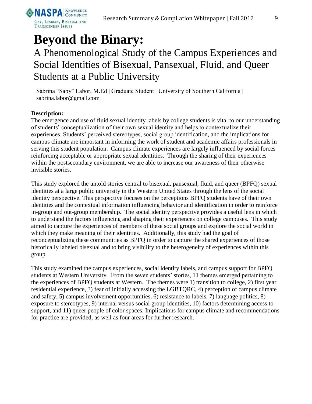

# **Beyond the Binary:**

### A Phenomenological Study of the Campus Experiences and Social Identities of Bisexual, Pansexual, Fluid, and Queer Students at a Public University

Sabrina "Saby" Labor, M.Ed | Graduate Student | University of Southern California | sabrina.labor@gmail.com

#### **Description:**

The emergence and use of fluid sexual identity labels by college students is vital to our understanding of students' conceptualization of their own sexual identity and helps to contextualize their experiences. Students' perceived stereotypes, social group identification, and the implications for campus climate are important in informing the work of student and academic affairs professionals in serving this student population. Campus climate experiences are largely influenced by social forces reinforcing acceptable or appropriate sexual identities. Through the sharing of their experiences within the postsecondary environment, we are able to increase our awareness of their otherwise invisible stories.

This study explored the untold stories central to bisexual, pansexual, fluid, and queer (BPFQ) sexual identities at a large public university in the Western United States through the lens of the social identity perspective. This perspective focuses on the perceptions BPFQ students have of their own identities and the contextual information influencing behavior and identification in order to reinforce in-group and out-group membership. The social identity perspective provides a useful lens in which to understand the factors influencing and shaping their experiences on college campuses. This study aimed to capture the experiences of members of these social groups and explore the social world in which they make meaning of their identities. Additionally, this study had the goal of reconceptualizing these communities as BPFQ in order to capture the shared experiences of those historically labeled bisexual and to bring visibility to the heterogeneity of experiences within this group.

This study examined the campus experiences, social identity labels, and campus support for BPFQ students at Western University. From the seven students' stories, 11 themes emerged pertaining to the experiences of BPFQ students at Western. The themes were 1) transition to college, 2) first year residential experience, 3) fear of initially accessing the LGBTQRC, 4) perception of campus climate and safety, 5) campus involvement opportunities, 6) resistance to labels, 7) language politics, 8) exposure to stereotypes, 9) internal versus social group identities, 10) factors determining access to support, and 11) queer people of color spaces. Implications for campus climate and recommendations for practice are provided, as well as four areas for further research.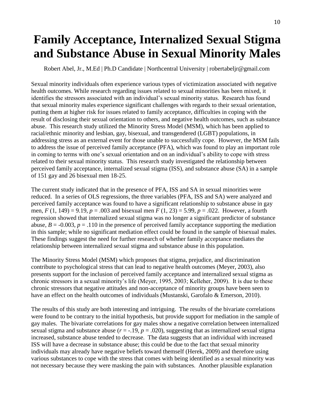## **Family Acceptance, Internalized Sexual Stigma and Substance Abuse in Sexual Minority Males**

Robert Abel, Jr., M.Ed | Ph.D Candidate | Northcentral University | robertabeljr@gmail.com

Sexual minority individuals often experience various types of victimization associated with negative health outcomes. While research regarding issues related to sexual minorities has been mixed, it identifies the stressors associated with an individual's sexual minority status. Research has found that sexual minority males experience significant challenges with regards to their sexual orientation, putting them at higher risk for issues related to family acceptance, difficulties in coping with the result of disclosing their sexual orientation to others, and negative health outcomes, such as substance abuse. This research study utilized the Minority Stress Model (MSM), which has been applied to racial/ethnic minority and lesbian, gay, bisexual, and transgendered (LGBT) populations, in addressing stress as an external event for those unable to successfully cope. However, the MSM fails to address the issue of perceived family acceptance (PFA), which was found to play an important role in coming to terms with one's sexual orientation and on an individual's ability to cope with stress related to their sexual minority status. This research study investigated the relationship between perceived family acceptance*,* internalized sexual stigma (ISS)*,* and substance abuse (SA) in a sample of 151 gay and 26 bisexual men 18-25.

The current study indicated that in the presence of PFA, ISS and SA in sexual minorities were reduced. In a series of OLS regressions, the three variables (PFA, ISS and SA) were analyzed and perceived family acceptance was found to have a significant relationship to substance abuse in gay men, *F* (1, 149) = 9.19, *p* = .003 and bisexual men *F* (1, 23) = 5.99, *p* = .022. However, a fourth regression showed that internalized sexual stigma was no longer a significant predictor of substance abuse,  $B = -0.003$ ,  $p = .110$  in the presence of perceived family acceptance supporting the mediation in this sample; while no significant mediation effect could be found in the sample of bisexual males. These findings suggest the need for further research of whether family acceptance mediates the relationship between internalized sexual stigma and substance abuse in this population.

The Minority Stress Model (MSM) which proposes that stigma, prejudice, and discrimination contribute to psychological stress that can lead to negative health outcomes (Meyer, 2003), also presents support for the inclusion of perceived family acceptance and internalized sexual stigma as chronic stressors in a sexual minority's life (Meyer, 1995, 2003; Kelleher, 2009). It is due to these chronic stressors that negative attitudes and non-acceptance of minority groups have been seen to have an effect on the health outcomes of individuals (Mustanski, Garofalo & Emerson, 2010).

The results of this study are both interesting and intriguing. The results of the bivariate correlations were found to be contrary to the initial hypothesis, but provide support for mediation in the sample of gay males. The bivariate correlations for gay males show a negative correlation between internalized sexual stigma and substance abuse  $(r = -.19, p = .020)$ , suggesting that as internalized sexual stigma increased, substance abuse tended to decrease. The data suggests that an individual with increased ISS will have a decrease in substance abuse; this could be due to the fact that sexual minority individuals may already have negative beliefs toward themself (Herek, 2009) and therefore using various substances to cope with the stress that comes with being identified as a sexual minority was not necessary because they were masking the pain with substances. Another plausible explanation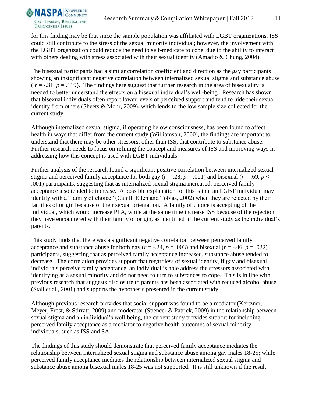

for this finding may be that since the sample population was affiliated with LGBT organizations, ISS could still contribute to the stress of the sexual minority individual; however, the involvement with the LGBT organization could reduce the need to self-medicate to cope, due to the ability to interact with others dealing with stress associated with their sexual identity (Amadio & Chung, 2004).

The bisexual participants had a similar correlation coefficient and direction as the gay participants showing an insignificant negative correlation between internalized sexual stigma and substance abuse  $(r = -0.31, p = 0.119)$ . The findings here suggest that further research in the area of bisexuality is needed to better understand the effects on a bisexual individual's well-being. Research has shown that bisexual individuals often report lower levels of perceived support and tend to hide their sexual identity from others (Sheets & Mohr, 2009), which lends to the low sample size collected for the current study.

Although internalized sexual stigma, if operating below consciousness, has been found to affect health in ways that differ from the current study (Williamson, 2000), the findings are important to understand that there may be other stressors, other than ISS, that contribute to substance abuse. Further research needs to focus on refining the concept and measures of ISS and improving ways in addressing how this concept is used with LGBT individuals.

Further analysis of the research found a significant positive correlation between internalized sexual stigma and perceived family acceptance for both gay ( $r = .28$ ,  $p = .001$ ) and bisexual ( $r = .69$ ,  $p <$ .001) participants, suggesting that as internalized sexual stigma increased, perceived family acceptance also tended to increase. A possible explanation for this is that an LGBT individual may identify with a "family of choice" (Cahill, Ellen and Tobias, 2002) when they are rejected by their families of origin because of their sexual orientation. A family of choice is accepting of the individual, which would increase PFA, while at the same time increase ISS because of the rejection they have encountered with their family of origin, as identified in the current study as the individual's parents.

This study finds that there was a significant negative correlation between perceived family acceptance and substance abuse for both gay  $(r = -.24, p = .003)$  and bisexual  $(r = -.46, p = .022)$ participants, suggesting that as perceived family acceptance increased, substance abuse tended to decrease. The correlation provides support that regardless of sexual identity, if gay and bisexual individuals perceive family acceptance, an individual is able address the stressors associated with identifying as a sexual minority and do not need to turn to substances to cope. This is in line with previous research that suggests disclosure to parents has been associated with reduced alcohol abuse (Stall et al., 2001) and supports the hypothesis presented in the current study.

Although previous research provides that social support was found to be a mediator (Kertzner, Meyer, Frost, & Stirratt, 2009) and moderator (Spencer & Patrick, 2009) in the relationship between sexual stigma and an individual's well-being, the current study provides support for including perceived family acceptance as a mediator to negative health outcomes of sexual minority individuals, such as ISS and SA.

The findings of this study should demonstrate that perceived family acceptance mediates the relationship between internalized sexual stigma and substance abuse among gay males 18-25; while perceived family acceptance mediates the relationship between internalized sexual stigma and substance abuse among bisexual males 18-25 was not supported. It is still unknown if the result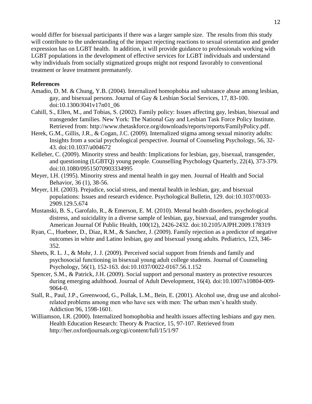would differ for bisexual participants if there was a larger sample size. The results from this study will contribute to the understanding of the impact rejecting reactions to sexual orientation and gender expression has on LGBT health. In addition, it will provide guidance to professionals working with LGBT populations in the development of effective services for LGBT individuals and understand why individuals from socially stigmatized groups might not respond favorably to conventional treatment or leave treatment prematurely.

#### **References**

- Amadio, D. M. & Chung, Y.B. (2004). Internalized homophobia and substance abuse among lesbian, gay, and bisexual persons. Journal of Gay & Lesbian Social Services, 17, 83-100. doi:10.1300/J041v17n01\_06
- Cahill, S., Ellen, M., and Tobias, S. (2002). Family policy: Issues affecting gay, lesbian, bisexual and transgender families. New York: The National Gay and Lesbian Task Force Policy Institute. Retrieved from: http://www.thetaskforce.org/downloads/reports/reports/FamilyPolicy.pdf.
- Herek, G.M., Gillis, J.R., & Cogan, J.C. (2009). Internalized stigma among sexual minority adults: Insights from a social psychological perspective. Journal of Counseling Psychology, 56, 32- 43. doi:10.1037/a004672
- Kelleher, C. (2009). Minority stress and health: Implications for lesbian, gay, bisexual, transgender, and questioning (LGBTQ) young people. Counselling Psychology Quarterly, 22(4), 373-379. doi:10.1080/09515070903334995
- Meyer, I.H. (1995). Minority stress and mental health in gay men. Journal of Health and Social Behavior, 36 (1), 38-56.
- Meyer, I.H. (2003). Prejudice, social stress, and mental health in lesbian, gay, and bisexual populations: Issues and research evidence. Psychological Bulletin, 129. doi:10.1037/0033- 2909.129.5.674
- Mustanski, B. S., Garofalo, R., & Emerson, E. M. (2010). Mental health disorders, psychological distress, and suicidality in a diverse sample of lesbian, gay, bisexual, and transgender youths. American Journal Of Public Health, 100(12), 2426-2432. doi:10.2105/AJPH.2009.178319
- Ryan, C., Huebner, D., Diaz, R.M., & Sanchez, J. (2009). Family rejection as a predictor of negative outcomes in white and Latino lesbian, gay and bisexual young adults. Pediatrics, 123, 346- 352.
- Sheets, R. L. J., & Mohr, J. J. (2009). Perceived social support from friends and family and psychosocial functioning in bisexual young adult college students. Journal of Counseling Psychology, 56(1), 152-163. doi:10.1037/0022-0167.56.1.152
- Spencer, S.M., & Patrick, J.H. (2009). Social support and personal mastery as protective resources during emerging adulthood. Journal of Adult Development, 16(4). doi:10.1007/s10804-009- 9064-0.
- Stall, R., Paul, J.P., Greenwood, G., Pollak, L.M., Bein, E. (2001). Alcohol use, drug use and alcoholrelated problems among men who have sex with men: The urban men's health study. Addiction 96, 1598-1601.
- Williamson, I.R. (2000). Internalized homophobia and health issues affecting lesbians and gay men. Health Education Research: Theory & Practice, 15, 97-107. Retrieved from http://her.oxfordjournals.org/cgi/content/full/15/1/97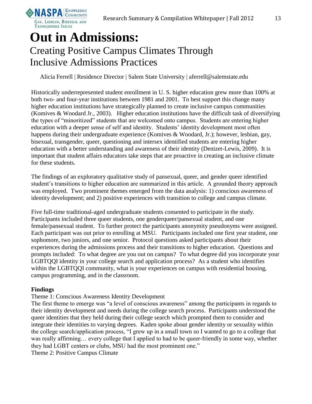

## **Out in Admissions:**  Creating Positive Campus Climates Through Inclusive Admissions Practices

Alicia Ferrell | Residence Director | Salem State University | aferrell@salemstate.edu

Historically underrepresented student enrollment in U. S. higher education grew more than 100% at both two- and four-year institutions between 1981 and 2001. To best support this change many higher education institutions have strategically planned to create inclusive campus communities (Komives & Woodard Jr., 2003). Higher education institutions have the difficult task of diversifying the types of "minoritized" students that are welcomed onto campus. Students are entering higher education with a deeper sense of self and identity. Students' identity development most often happens during their undergraduate experience (Komives & Woodard, Jr.); however, lesbian, gay, bisexual, transgender, queer, questioning and intersex identified students are entering higher education with a better understanding and awareness of their identity (Denizet-Lewis, 2009). It is important that student affairs educators take steps that are proactive in creating an inclusive climate for these students.

The findings of an exploratory qualitative study of pansexual, queer, and gender queer identified student's transitions to higher education are summarized in this article. A grounded theory approach was employed. Two prominent themes emerged from the data analysis: 1) conscious awareness of identity development; and 2) positive experiences with transition to college and campus climate.

Five full-time traditional-aged undergraduate students consented to participate in the study. Participants included three queer students, one genderqueer/pansexual student, and one female/pansexual student. To further protect the participants anonymity pseudonyms were assigned. Each participant was out prior to enrolling at MSU. Participants included one first year student, one sophomore, two juniors, and one senior. Protocol questions asked participants about their experiences during the admissions process and their transitions to higher education. Questions and prompts included: To what degree are you out on campus? To what degree did you incorporate your LGBTQQI identity in your college search and application process? As a student who identifies within the LGBTQQI community, what is your experiences on campus with residential housing, campus programming, and in the classroom.

#### **Findings**

#### Theme 1: Conscious Awareness Identity Development

The first theme to emerge was "a level of conscious awareness" among the participants in regards to their identity development and needs during the college search process. Participants understood the queer identities that they held during their college search which prompted them to consider and integrate their identities to varying degrees. Kaden spoke about gender identity or sexuality within the college search/application process, "I grew up in a small town so I wanted to go to a college that was really affirming… every college that I applied to had to be queer-friendly in some way, whether they had LGBT centers or clubs, MSU had the most prominent one."

Theme 2: Positive Campus Climate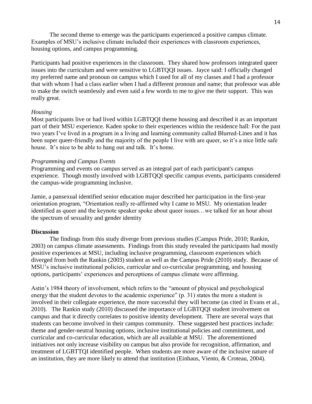The second theme to emerge was the participants experienced a positive campus climate. Examples of MSU's inclusive climate included their experiences with classroom experiences, housing options, and campus programming.

Participants had positive experiences in the classroom. They shared how professors integrated queer issues into the curriculum and were sensitive to LGBTQQI issues. Jayce said: I officially changed my preferred name and pronoun on campus which I used for all of my classes and I had a professor that with whom I had a class earlier when I had a different pronoun and name; that professor was able to make the switch seamlessly and even said a few words to me to give me their support. This was really great.

#### *Housing*

Most participants live or had lived within LGBTQQI theme housing and described it as an important part of their MSU experience. Kaden spoke to their experiences within the residence hall: For the past two years I've lived in a program in a living and learning community called Blurred-Lines and it has been super queer-friendly and the majority of the people I live with are queer, so it's a nice little safe house. It's nice to be able to hang out and talk. It's home.

#### *Programming and Campus Events*

Programming and events on campus served as an integral part of each participant's campus experience. Though mostly involved with LGBTQQI specific campus events, participants considered the campus-wide programming inclusive.

Jamie, a pansexual identified senior education major described her participation in the first-year orientation program, "Orientation really re-affirmed why I came to MSU. My orientation leader identified as queer and the keynote speaker spoke about queer issues…we talked for an hour about the spectrum of sexuality and gender identity

#### **Discussion**

The findings from this study diverge from previous studies (Campus Pride, 2010; Rankin, 2003) on campus climate assessments. Findings from this study revealed the participants had mostly positive experiences at MSU, including inclusive programming, classroom experiences which diverged from both the Rankin (2003) student as well as the Campus Pride (2010) study. Because of MSU's inclusive institutional policies, curricular and co-curricular programming, and housing options, participants' experiences and perceptions of campus climate were affirming.

Astin's 1984 theory of involvement, which refers to the "amount of physical and psychological energy that the student devotes to the academic experience" (p. 31) states the more a student is involved in their collegiate experience, the more successful they will become (as cited in Evans et al., 2010). The Rankin study (2010) discussed the importance of LGBTQQI student involvement on campus and that it directly correlates to positive identity development. There are several ways that students can become involved in their campus community. These suggested best practices include: theme and gender-neutral housing options, inclusive institutional policies and commitment, and curricular and co-curricular education, which are all available at MSU. The aforementioned initiatives not only increase visibility on campus but also provide for recognition, affirmation, and treatment of LGBTTQI identified people. When students are more aware of the inclusive nature of an institution, they are more likely to attend that institution (Einhaus, Viento, & Croteau, 2004).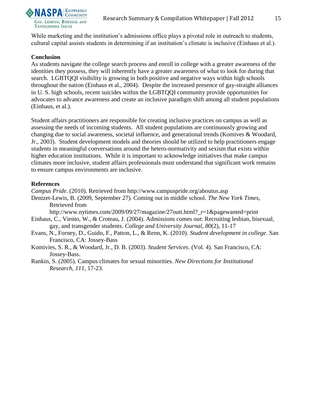

While marketing and the institution's admissions office plays a pivotal role in outreach to students, cultural capital assists students in determining if an institution's climate is inclusive (Einhaus et al.).

#### **Conclusion**

As students navigate the college search process and enroll in college with a greater awareness of the identities they possess, they will inherently have a greater awareness of what to look for during that search. LGBTQQI visibility is growing in both positive and negative ways within high schools throughout the nation (Einhaus et al., 2004). Despite the increased presence of gay-straight alliances in U. S. high schools, recent suicides within the LGBTQQI community provide opportunities for advocates to advance awareness and create an inclusive paradigm shift among all student populations (Einhaus, et al.).

Student affairs practitioners are responsible for creating inclusive practices on campus as well as assessing the needs of incoming students. All student populations are continuously growing and changing due to social awareness, societal influence, and generational trends (Komives & Woodard, Jr., 2003). Student development models and theories should be utilized to help practitioners engage students in meaningful conversations around the hetero-normativity and sexism that exists within higher education institutions. While it is important to acknowledge initiatives that make campus climates more inclusive, student affairs professionals must understand that significant work remains to ensure campus environments are inclusive.

#### **References**

*Campus Pride*. (2010). Retrieved from http://www.campuspride.org/aboutus.asp

Denizet-Lewis, B. (2009, September 27). Coming out in middle school. *The New York Times*, Retrieved from

http://www.nytimes.com/2009/09/27/magazine/27outt.html?\_r=1&pagewanted=print

- Einhaus, C., Viento, W., & Croteau, J. (2004). Admissions comes out: Recruiting lesbian, bisexual, gay, and transgender students. *College and University Journal, 80*(2), 11-17
- Evans, N., Forney, D., Guido, F., Patton, L., & Renn, K. (2010). *Student development in college*. San Francisco, CA: Jossey-Bass
- Komivies, S. R., & Woodard, Jr., D. B. (2003). *Student Services*. (Vol. 4). San Francisco, CA: Jossey-Bass.
- Rankin, S. (2005). Campus climates for sexual minorities. *New Directions for Institutional Research*, *111*, 17-23.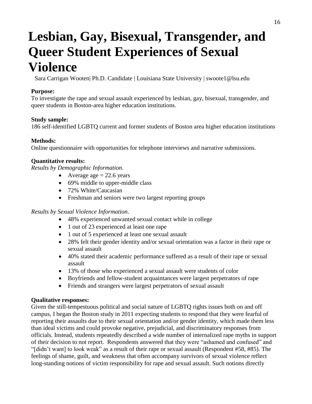# **Lesbian, Gay, Bisexual, Transgender, and Queer Student Experiences of Sexual Violence**

**in Boston Area Higher Education** Sara Carrigan Wooten| Ph.D. Candidate | Louisiana State University | swoote1@lsu.edu

#### **Purpose:**

To investigate the rape and sexual assault experienced by lesbian, gay, bisexual, transgender, and queer students in Boston-area higher education institutions.

#### **Study sample:**

186 self-identified LGBTQ current and former students of Boston area higher education institutions

#### **Methods:**

Online questionnaire with opportunities for telephone interviews and narrative submissions.

#### **Quantitative results:**

*Results by Demographic Information*.

- Average age  $= 22.6$  years
- 69% middle to upper-middle class
- 72% White/Caucasian
- Freshman and seniors were two largest reporting groups

#### *Results by Sexual Violence Information*.

- 48% experienced unwanted sexual contact while in college
- 1 out of 23 experienced at least one rape
- 1 out of 5 experienced at least one sexual assault
- 28% felt their gender identity and/or sexual orientation was a factor in their rape or sexual assault
- 40% stated their academic performance suffered as a result of their rape or sexual assault
- 13% of those who experienced a sexual assault were students of color
- Boyfriends and fellow-student acquaintances were largest perpetrators of rape
- Friends and strangers were largest perpetrators of sexual assault

#### **Qualitative responses:**

Given the still-tempestuous political and social nature of LGBTQ rights issues both on and off campus, I began the Boston study in 2011 expecting students to respond that they were fearful of reporting their assaults due to their sexual orientation and/or gender identity, which made them less than ideal victims and could provoke negative, prejudicial, and discriminatory responses from officials. Instead, students repeatedly described a wide number of internalized rape myths in support of their decision to not report. Respondents answered that they were "ashamed and confused" and "[didn't want] to look weak" as a result of their rape or sexual assault (Respondent #58, #85). The feelings of shame, guilt, and weakness that often accompany survivors of sexual violence reflect long-standing notions of victim responsibility for rape and sexual assault. Such notions directly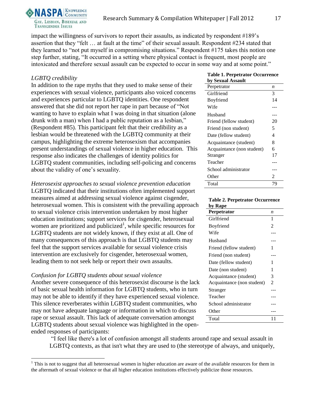

impact the willingness of survivors to report their assaults, as indicated by respondent #189's assertion that they "felt … at fault at the time" of their sexual assault. Respondent #234 stated that they learned to "not put myself in compromising situations." Respondent #175 takes this notion one step further, stating, "It occurred in a setting where physical contact is frequent, most people are intoxicated and therefore sexual assault can be expected to occur in some way and at some point."

#### *LGBTQ credibility*

 $\overline{a}$ 

In addition to the rape myths that they used to make sense of their experiences with sexual violence, participants also voiced concerns and experiences particular to LGBTQ identities. One respondent answered that she did not report her rape in part because of "Not wanting to have to explain what I was doing in that situation (alone drunk with a man) when I had a public reputation as a lesbian," (Respondent #85). This participant felt that their credibility as a lesbian would be threatened with the LGBTQ community at their campus, highlighting the extreme heterosexism that accompanies present understandings of sexual violence in higher education. This response also indicates the challenges of identity politics for LGBTQ student communities, including self-policing and concerns about the validity of one's sexuality.

*Heterosexist approaches to sexual violence prevention education* LGBTQ indicated that their institutions often implemented support measures aimed at addressing sexual violence against cisgender, heterosexual women. This is consistent with the prevailing approach to sexual violence crisis intervention undertaken by most higher education institutions; support services for cisgender, heterosexual women are prioritized and publicized<sup>1</sup>, while specific resources for LGBTQ students are not widely known, if they exist at all. One of many consequences of this approach is that LGBTQ students may feel that the support services available for sexual violence crisis intervention are exclusively for cisgender, heterosexual women, leading them to not seek help or report their own assaults.

#### *Confusion for LGBTQ students about sexual violence*

Another severe consequence of this heterosexist discourse is the lack of basic sexual health information for LGBTQ students, who in turn may not be able to identify if they have experienced sexual violence. This silence reverberates within LGBTQ student communities, who may not have adequate language or information in which to discuss rape or sexual assault. This lack of adequate conversation amongst LGBTQ students about sexual violence was highlighted in the openended responses of participants:

### **Table 1. Perpetrator Occurrence**

| by Sexual Assault          |    |
|----------------------------|----|
| Perpetrator                | n  |
| Girlfriend                 | 3  |
| Boyfriend                  | 14 |
| Wife                       |    |
| Husband                    |    |
| Friend (fellow student)    | 20 |
| Friend (non student)       | 5  |
| Date (fellow student)      | 4  |
| Acquaintance (student)     | 8  |
| Acquaintance (non student) | 6  |
| Stranger                   | 17 |
| Teacher                    |    |
| School administrator       |    |
| Other                      | 2  |
| Total                      | 79 |

### **Table 2. Perpetrator Occurrence**

| by Rape                    |    |
|----------------------------|----|
| <b>Perpetrator</b>         | n  |
| Girlfriend                 | 1  |
| Boyfriend                  | 2  |
| Wife                       |    |
| Husband                    |    |
| Friend (fellow student)    | 1  |
| Friend (non student)       |    |
| Date (fellow student)      | 1  |
| Date (non student)         | 1  |
| Acquaintance (student)     | 3  |
| Acquaintance (non student) | 2  |
| Stranger                   |    |
| Teacher                    |    |
| School administrator       |    |
| Other                      |    |
| Total                      | 11 |

"I feel like there's a lot of confusion amongst all students around rape and sexual assault in LGBTQ contexts, as that isn't what they are used to (the stereotype of always, and uniquely,

<sup>&</sup>lt;sup>1</sup> This is not to suggest that all heterosexual women in higher education are aware of the available resources for them in the aftermath of sexual violence or that all higher education institutions effectively publicize those resources.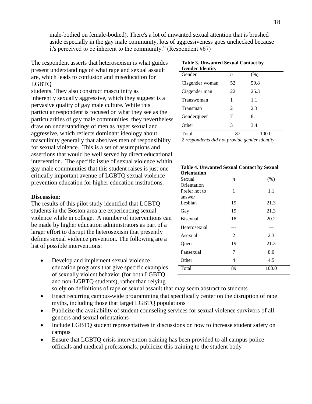male-bodied on female-bodied). There's a lot of unwanted sexual attention that is brushed aside especially in the gay male community, lots of aggressiveness goes unchecked because it's perceived to be inherent to the community." (Respondent #67)

The respondent asserts that heterosexism is what guides present understandings of what rape and sexual assault are, which leads to confusion and miseducation for LGBTQ

students. They also construct masculinity as inherently sexually aggressive, which they suggest is a pervasive quality of gay male culture. While this particular respondent is focused on what they see as the particularities of gay male communities, they nevertheless draw on understandings of men as hyper sexual and aggressive, which reflects dominant ideology about masculinity generally that absolves men of responsibility for sexual violence. This is a set of assumptions and assertions that would be well served by direct educational intervention. The specific issue of sexual violence within gay male communities that this student raises is just one critically important avenue of LGBTQ sexual violence prevention education for higher education institutions.

#### **Discussion:**

The results of this pilot study identified that LGBTQ students in the Boston area are experiencing sexual violence while in college. A number of interventions can be made by higher education administrators as part of a larger effort to disrupt the heterosexism that presently defines sexual violence prevention. The following are a list of possible interventions:

• Develop and implement sexual violence education programs that give specific examples of sexually violent behavior (for both LGBTQ and non-LGBTQ students), rather than relying

|                 |  | Table 3. Unwanted Sexual Contact by |
|-----------------|--|-------------------------------------|
| Gender Identity |  |                                     |

| Gender Ruentity |                             |       |
|-----------------|-----------------------------|-------|
| Gender          | n                           | (% )  |
| Cisgender woman | 52                          | 59.8  |
| Cisgender man   | 22                          | 25.3  |
| Transwoman      |                             | 1.1   |
| Transman        | $\mathcal{D}_{\mathcal{L}}$ | 2.3   |
| Genderqueer     |                             | 8.1   |
| Other           | 3                           | 3.4   |
| Total           | 87                          | 100.0 |

*2 respondents did not provide gender identity*

| <b>Orientation</b> |                  |       |
|--------------------|------------------|-------|
| Sexual             | $\boldsymbol{n}$ | (% )  |
| Orientation        |                  |       |
| Prefer not to      | 1                | 1.1   |
| answer             |                  |       |
| Lesbian            | 19               | 21.3  |
| Gay                | 19               | 21.3  |
| <b>Bisexual</b>    | 18               | 20.2  |
| Heterosexual       |                  |       |
| Asexual            | $\mathfrak{D}$   | 2.3   |
| Queer              | 19               | 21.3  |
| Pansexual          | 7                | 8.0   |
| Other              | 4                | 4.5   |
| Total              | 89               | 100.0 |

| <b>Table 4. Unwanted Sexual Contact by Sexual</b> |  |  |
|---------------------------------------------------|--|--|
| <b>Orientation</b>                                |  |  |

solely on definitions of rape or sexual assault that may seem abstract to students

- Enact recurring campus-wide programming that specifically center on the disruption of rape myths, including those that target LGBTQ populations
- Publicize the availability of student counseling services for sexual violence survivors of all genders and sexual orientations
- Include LGBTQ student representatives in discussions on how to increase student safety on campus
- Ensure that LGBTQ crisis intervention training has been provided to all campus police officials and medical professionals; publicize this training to the student body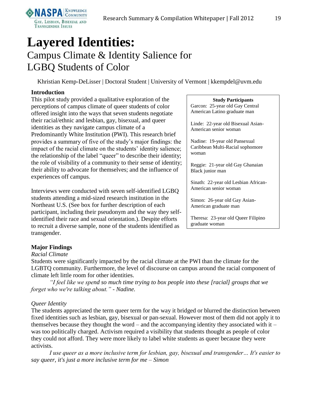

## **Layered Identities:** Campus Climate & Identity Salience for LGBQ Students of Color

Khristian Kemp-DeLisser | Doctoral Student | University of Vermont | kkempdel@uvm.edu

#### **Introduction**

This pilot study provided a qualitative exploration of the perceptions of campus climate of queer students of color offered insight into the ways that seven students negotiate their racial/ethnic and lesbian, gay, bisexual, and queer identities as they navigate campus climate of a Predominantly White Institution (PWI). This research brief provides a summary of five of the study's major findings: the impact of the racial climate on the students' identity salience; the relationship of the label "queer" to describe their identity; the role of visibility of a community to their sense of identity; their ability to advocate for themselves; and the influence of experiences off campus.

Interviews were conducted with seven self-identified LGBQ students attending a mid-sized research institution in the Northeast U.S. (See box for further description of each participant, including their pseudonym and the way they selfidentified their race and sexual orientation.). Despite efforts to recruit a diverse sample, none of the students identified as transgender.

### **Study Participants**

Garcon: 25-year old Gay Central American Latino graduate man

Linde: 22-year old Bisexual Asian-American senior woman

Nadine: 19-year old Pansexual Caribbean Multi-Racial sophomore woman

Reggie: 21-year old Gay Ghanaian Black junior man

Sinath: 22-year old Lesbian African-American senior woman

Simon: 26-year old Gay Asian-American graduate man

Theresa: 23-year old Queer Filipino graduate woman

#### **Major Findings**

#### *Racial Climate*

Students were significantly impacted by the racial climate at the PWI than the climate for the LGBTQ community. Furthermore, the level of discourse on campus around the racial component of climate left little room for other identities.

*"I feel like we spend so much time trying to box people into these [racial] groups that we forget who we're talking about." - Nadine.*

#### *Queer Identity*

The students appreciated the term queer term for the way it bridged or blurred the distinction between fixed identities such as lesbian, gay, bisexual or pan-sexual. However most of them did not apply it to themselves because they thought the word – and the accompanying identity they associated with it – was too politically charged. Activism required a visibility that students thought as people of color they could not afford. They were more likely to label white students as queer because they were activists.

*I use queer as a more inclusive term for lesbian, gay, bisexual and transgender… It's easier to say queer, it's just a more inclusive term for me – Simon*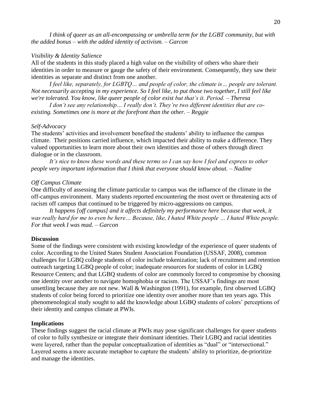*I think of queer as an all-encompassing or umbrella term for the LGBT community, but with the added bonus – with the added identity of activism. – Garcon*

#### *Visibility & Identity Salience*

All of the students in this study placed a high value on the visibility of others who share their identities in order to measure or gauge the safety of their environment. Consequently, they saw their identities as separate and distinct from one another.

*I feel like, separately, for LGBTQ… and people of color, the climate is… people are tolerant. Not necessarily accepting in my experience. So I feel like, to put those two together, I still feel like we're tolerated. You know, like queer people of color exist but that's it. Period. – Theresa*

*I don't see any relationship… I really don't. They're two different identities that are coexisting. Sometimes one is more at the forefront than the other. – Reggie*

#### *Self-Advocacy*

The students' activities and involvement benefited the students' ability to influence the campus climate. Their positions carried influence, which impacted their ability to make a difference. They valued opportunities to learn more about their own identities and those of others through direct dialogue or in the classroom.

*It's nice to know these words and these terms so I can say how I feel and express to other people very important information that I think that everyone should know about. – Nadine*

#### *Off Campus Climate*

One difficulty of assessing the climate particular to campus was the influence of the climate in the off-campus environment. Many students reported encountering the most overt or threatening acts of racism off campus that continued to be triggered by micro-aggressions on campus.

*It happens [off campus] and it affects definitely my performance here because that week, it*  was really hard for me to even be here... Because, like, I hated White people ... I hated White people. *For that week I was mad. – Garcon*

#### **Discussion**

Some of the findings were consistent with existing knowledge of the experience of queer students of color. According to the United States Student Association Foundation (USSAF, 2008), common challenges for LGBQ college students of color include tokenization; lack of recruitment and retention outreach targeting LGBQ people of color; inadequate resources for students of color in LGBQ Resource Centers; and that LGBQ students of color are commonly forced to compromise by choosing one identity over another to navigate homophobia or racism. The USSAF's findings are most unsettling because they are not new. Wall & Washington (1991), for example, first observed LGBQ students of color being forced to prioritize one identity over another more than ten years ago. This phenomenological study sought to add the knowledge about LGBQ students of colors' perceptions of their identity and campus climate at PWIs.

#### **Implications**

These findings suggest the racial climate at PWIs may pose significant challenges for queer students of color to fully synthesize or integrate their dominant identities. Their LGBQ and racial identities were layered, rather than the popular conceptualization of identities as "dual" or "intersectional." Layered seems a more accurate metaphor to capture the students' ability to prioritize, de-prioritize and manage the identities.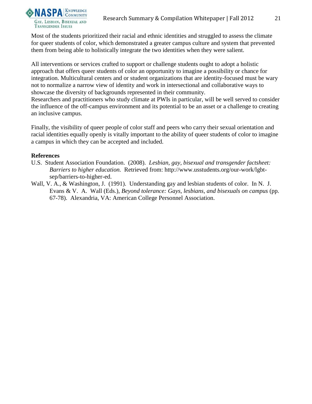

Most of the students prioritized their racial and ethnic identities and struggled to assess the climate for queer students of color, which demonstrated a greater campus culture and system that prevented them from being able to holistically integrate the two identities when they were salient.

All interventions or services crafted to support or challenge students ought to adopt a holistic approach that offers queer students of color an opportunity to imagine a possibility or chance for integration. Multicultural centers and or student organizations that are identity-focused must be wary not to normalize a narrow view of identity and work in intersectional and collaborative ways to showcase the diversity of backgrounds represented in their community.

Researchers and practitioners who study climate at PWIs in particular, will be well served to consider the influence of the off-campus environment and its potential to be an asset or a challenge to creating an inclusive campus.

Finally, the visibility of queer people of color staff and peers who carry their sexual orientation and racial identities equally openly is vitally important to the ability of queer students of color to imagine a campus in which they can be accepted and included.

#### **References**

- U.S. Student Association Foundation. (2008). *Lesbian, gay, bisexual and transgender factsheet: Barriers to higher education.* Retrieved from: http://www.usstudents.org/our-work/lgbtsep/barriers-to-higher-ed.
- Wall, V. A., & Washington, J. (1991). Understanding gay and lesbian students of color. In N. J. Evans & V. A. Wall (Eds.), *Beyond tolerance: Gays, lesbians, and bisexuals on campus* (pp. 67-78). Alexandria, VA: American College Personnel Association.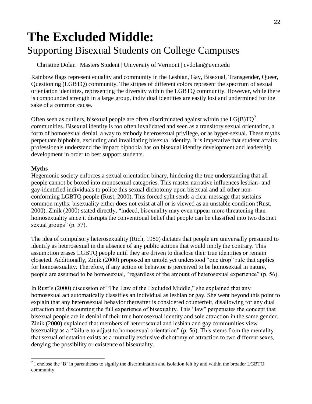# **The Excluded Middle:**

### Supporting Bisexual Students on College Campuses

Christine Dolan | Masters Student | University of Vermont | cvdolan@uvm.edu

Rainbow flags represent equality and community in the Lesbian, Gay, Bisexual, Transgender, Queer, Questioning (LGBTQ) community. The stripes of different colors represent the spectrum of sexual orientation identities, representing the diversity within the LGBTQ community. However, while there is compounded strength in a large group, individual identities are easily lost and undermined for the sake of a common cause.

Often seen as outliers, bisexual people are often discriminated against within the  $LG(B)TO<sup>2</sup>$ communities. Bisexual identity is too often invalidated and seen as a transitory sexual orientation, a form of homosexual denial, a way to embody heterosexual privilege, or as hyper-sexual. These myths perpetuate biphobia, excluding and invalidating bisexual identity. It is imperative that student affairs professionals understand the impact biphobia has on bisexual identity development and leadership development in order to best support students.

#### **Myths**

Hegemonic society enforces a sexual orientation binary, hindering the true understanding that all people cannot be boxed into monosexual categories. This master narrative influences lesbian- and gay-identified individuals to police this sexual dichotomy upon bisexual and all other nonconforming LGBTQ people (Rust, 2000). This forced split sends a clear message that sustains common myths: bisexuality either does not exist at all or is viewed as an unstable condition (Rust, 2000). Zinik (2000) stated directly, "indeed, bisexuality may even appear more threatening than homosexuality since it disrupts the conventional belief that people can be classified into two distinct sexual groups" (p. 57).

The idea of compulsory heterosexuality (Rich, 1980) dictates that people are universally presumed to identify as heterosexual in the absence of any public actions that would imply the contrary. This assumption erases LGBTQ people until they are driven to disclose their true identities or remain closeted. Additionally, Zinik (2000) proposed an untold yet understood "one drop" rule that applies for homosexuality. Therefore, if any action or behavior is perceived to be homosexual in nature, people are assumed to be homosexual, "regardless of the amount of heterosexual experience" (p. 56).

In Rust's (2000) discussion of "The Law of the Excluded Middle," she explained that any homosexual act automatically classifies an individual as lesbian or gay. She went beyond this point to explain that any heterosexual behavior thereafter is considered counterfeit, disallowing for any dual attraction and discounting the full experience of bisexuality. This "law" perpetuates the concept that bisexual people are in denial of their true homosexual identity and sole attraction in the same gender. Zinik (2000) explained that members of heterosexual and lesbian and gay communities view bisexuality as a "failure to adjust to homosexual orientation" (p. 56). This stems from the mentality that sexual orientation exists as a mutually exclusive dichotomy of attraction to two different sexes, denying the possibility or existence of bisexuality.

 $\overline{a}$  $2^{2}$  I enclose the 'B' in parentheses to signify the discrimination and isolation felt by and within the broader LGBTQ community.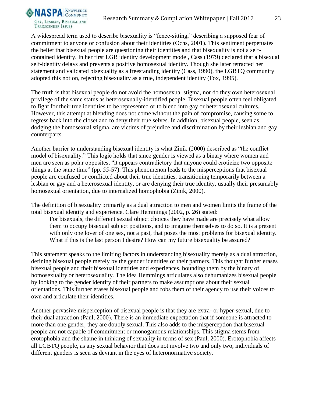

A widespread term used to describe bisexuality is "fence-sitting," describing a supposed fear of commitment to anyone or confusion about their identities (Ochs, 2001). This sentiment perpetuates the belief that bisexual people are questioning their identities and that bisexuality is not a selfcontained identity. In her first LGB identity development model, Cass (1979) declared that a bisexual self-identity delays and prevents a positive homosexual identity. Though she later retracted her statement and validated bisexuality as a freestanding identity (Cass, 1990), the LGBTQ community adopted this notion, rejecting bisexuality as a true, independent identity (Fox, 1995).

The truth is that bisexual people do not avoid the homosexual stigma, nor do they own heterosexual privilege of the same status as heterosexually-identified people. Bisexual people often feel obligated to fight for their true identities to be represented or to blend into gay or heterosexual cultures. However, this attempt at blending does not come without the pain of compromise, causing some to regress back into the closet and to deny their true selves. In addition, bisexual people, seen as dodging the homosexual stigma, are victims of prejudice and discrimination by their lesbian and gay counterparts.

Another barrier to understanding bisexual identity is what Zinik (2000) described as "the conflict model of bisexuality." This logic holds that since gender is viewed as a binary where women and men are seen as polar opposites, "it appears contradictory that anyone could eroticize two opposite things at the same time" (pp. 55-57). This phenomenon leads to the misperceptions that bisexual people are confused or conflicted about their true identities, transitioning temporarily between a lesbian or gay and a heterosexual identity, or are denying their true identity, usually their presumably homosexual orientation, due to internalized homophobia (Zinik, 2000).

The definition of bisexuality primarily as a dual attraction to men and women limits the frame of the total bisexual identity and experience. Clare Hemmings (2002, p. 26) stated:

For bisexuals, the different sexual object choices they have made are precisely what allow them to occupy bisexual subject positions, and to imagine themselves to do so. It is a present with only one lover of one sex, not a past, that poses the most problems for bisexual identity. What if this is the last person I desire? How can my future bisexuality be assured?

This statement speaks to the limiting factors in understanding bisexuality merely as a dual attraction, defining bisexual people merely by the gender identities of their partners. This thought further erases bisexual people and their bisexual identities and experiences, bounding them by the binary of homosexuality or heterosexuality. The idea Hemmings articulates also dehumanizes bisexual people by looking to the gender identity of their partners to make assumptions about their sexual orientations. This further erases bisexual people and robs them of their agency to use their voices to own and articulate their identities.

Another pervasive misperception of bisexual people is that they are extra- or hyper-sexual, due to their dual attraction (Paul, 2000). There is an immediate expectation that if someone is attracted to more than one gender, they are doubly sexual. This also adds to the misperception that bisexual people are not capable of commitment or monogamous relationships. This stigma stems from erotophobia and the shame in thinking of sexuality in terms of sex (Paul, 2000). Erotophobia affects all LGBTQ people, as any sexual behavior that does not involve two and only two, individuals of different genders is seen as deviant in the eyes of heteronormative society.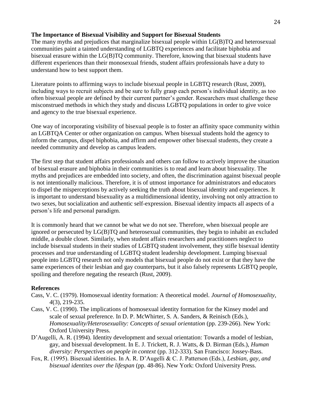#### **The Importance of Bisexual Visibility and Support for Bisexual Students**

The many myths and prejudices that marginalize bisexual people within LG(B)TQ and heterosexual communities paint a tainted understanding of LGBTQ experiences and facilitate biphobia and bisexual erasure within the LG(B)TQ community. Therefore, knowing that bisexual students have different experiences than their monosexual friends, student affairs professionals have a duty to understand how to best support them.

Literature points to affirming ways to include bisexual people in LGBTQ research (Rust, 2009), including ways to recruit subjects and be sure to fully grasp each person's individual identity, as too often bisexual people are defined by their current partner's gender. Researchers must challenge these misconstrued methods in which they study and discuss LGBTQ populations in order to give voice and agency to the true bisexual experience.

One way of incorporating visibility of bisexual people is to foster an affinity space community within an LGBTQA Center or other organization on campus. When bisexual students hold the agency to inform the campus, dispel biphobia, and affirm and empower other bisexual students, they create a needed community and develop as campus leaders.

The first step that student affairs professionals and others can follow to actively improve the situation of bisexual erasure and biphobia in their communities is to read and learn about bisexuality. The myths and prejudices are embedded into society, and often, the discrimination against bisexual people is not intentionally malicious. Therefore, it is of utmost importance for administrators and educators to dispel the misperceptions by actively seeking the truth about bisexual identity and experiences. It is important to understand bisexuality as a multidimensional identity, involving not only attraction to two sexes, but socialization and authentic self-expression. Bisexual identity impacts all aspects of a person's life and personal paradigm.

It is commonly heard that we cannot be what we do not see. Therefore, when bisexual people are ignored or persecuted by LG(B)TQ and heterosexual communities, they begin to inhabit an excluded middle, a double closet. Similarly, when student affairs researchers and practitioners neglect to include bisexual students in their studies of LGBTQ student involvement, they stifle bisexual identity processes and true understanding of LGBTQ student leadership development. Lumping bisexual people into LGBTQ research not only models that bisexual people do not exist or that they have the same experiences of their lesbian and gay counterparts, but it also falsely represents LGBTQ people, spoiling and therefore negating the research (Rust, 2009).

#### **References**

- Cass, V. C. (1979). Homosexual identity formation: A theoretical model. *Journal of Homosexuality, 4*(3), 219-235.
- Cass, V. C. (1990). The implications of homosexual identity formation for the Kinsey model and scale of sexual preference. In D. P. McWhirter, S. A. Sanders, & Reinisch (Eds.), *Homosexuality/Heterosexuality: Concepts of sexual orientation* (pp. 239-266). New York: Oxford University Press.
- D'Augelli, A. R. (1994). Identity development and sexual orientation: Towards a model of lesbian, gay, and bisexual development. In E. J. Trickett, R. J. Watts, & D. Birman (Eds.), *Human diversity: Perspectives on people in context* (pp. 312-333). San Francisco: Jossey-Bass.
- Fox, R. (1995). Bisexual identities. In A. R. D'Augelli & C. J. Patterson (Eds.), *Lesbian, gay, and bisexual identites over the lifespan* (pp. 48-86). New York: Oxford University Press.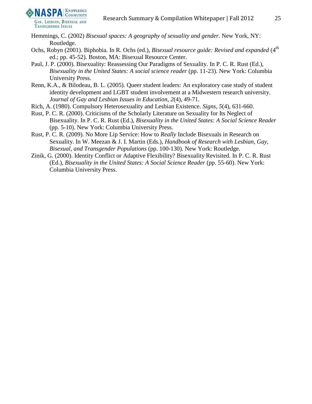

- Hemmings, C. (2002) *Bisexual spaces: A geography of sexuality and gender*. New York, NY: Routledge.
- Ochs, Robyn (2001). Biphobia. In R. Ochs (ed.), *Bisexual resource guide: Revised and expanded* (4<sup>th</sup> ed.; pp. 45-52). Boston, MA: Bisexual Resource Center.
- Paul, J. P. (2000). Bisexuality: Reassessing Our Paradigms of Sexuality. In P. C. R. Rust (Ed.), *Bisexuality in the United States: A social science reader* (pp. 11-23). New York: Columbia University Press.
- Renn, K.A., & Bilodeau, B. L. (2005). Queer student leaders: An exploratory case study of student identity development and LGBT student involvement at a Midwestern research university. *Journal of Gay and Lesbian Issues in Education, 2*(4), 49-71.
- Rich, A. (1980). Compulsory Heterosexuality and Lesbian Existence. *Signs, 5*(4), 631-660.
- Rust, P. C. R. (2000). Criticisms of the Scholarly Literature on Sexuality for Its Neglect of Bisexuality. In P. C. R. Rust (Ed.), *Bisexuality in the United States: A Social Science Reader* (pp. 5-10). New York: Columbia University Press.
- Rust, P. C. R. (2009). No More Lip Service: How to *Really* Include Bisexuals in Research on Sexuality. In W. Meezan & J. I. Martin (Eds.), *Handbook of Research with Lesbian, Gay, Bisexual, and Transgender Populations* (pp. 100-130). New York: Routledge.
- Zinik, G. (2000). Identity Conflict or Adaptive Flexibility? Bisexuality Revisited. In P. C. R. Rust (Ed.), *Bisexuality in the United States: A Social Science Reader* (pp. 55-60). New York: Columbia University Press.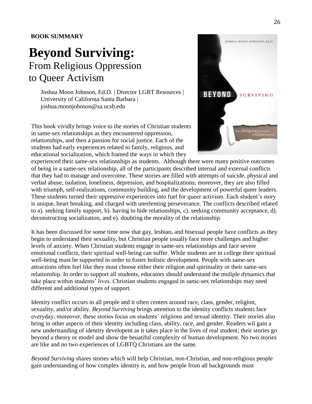#### **BOOK SUMMARY**

### **Beyond Surviving:**  From Religious Oppression

to Queer Activism

Joshua Moon Johnson, Ed.D. | Director LGBT Resources | University of California Santa Barbara | joshua.moonjohnson@sa.ucsb.edu

This book vividly brings voice to the stories of Christian students in same-sex relationships as they encountered oppression, relationships, and then a passion for social justice. Each of the students had early experiences related to family, religious, and educational socialization, which framed the ways in which they



experienced their same-sex relationships as students. Although there were many positive outcomes of being in a same-sex relationship, all of the participants described internal and external conflicts that they had to manage and overcome. These stories are filled with attempts of suicide, physical and verbal abuse, isolation, loneliness, depression, and hospitalizations; moreover, they are also filled with triumph, self-realizations, community building, and the development of powerful queer leaders. These students turned their oppressive experiences into fuel for queer activism. Each student's story is unique, heart breaking, and charged with unrelenting perseverance. The conflicts described related to a). seeking family support, b). having to hide relationships, c). seeking community acceptance, d). deconstructing socialization, and e). doubting the morality of the relationship.

It has been discussed for some time now that gay, lesbian, and bisexual people have conflicts as they begin to understand their sexuality, but Christian people usually face more challenges and higher levels of anxiety. When Christian students engage in same-sex relationships and face severe emotional conflicts, their spiritual well-being can suffer. While students are in college their spiritual well-being must be supported in order to foster holistic development. People with same-sex attractions often feel like they must choose either their religion and spirituality or their same-sex relationship. In order to support all students, educators should understand the muliple dynamics that take place within students' lives. Christian students engaged in same-sex relationships may need different and additional types of support.

Identity conflict occurs in all people and it often centers around race, class, gender, religion, sexuality, and/or ability. *Beyond Surviving* brings attention to the identity conflicts students face everyday; moreover, these stories focus on students' relgiious and sexual identity. Their stories also bring in other aspects of their identity including class, ability, race, and gender. Readers wil gain a new understanding of identity developent as it takes place in the lives of real student; their stories go beyond a theory or model and show the beuatiful complexity of human development. No two stories are like and no two experiences of LGBTQ Christians are the same.

*Beyond Surviving* shares stories which will help Christian, non-Christian, and non-religious people gain understanding of how complex identity is, and how people from all backgrounds must